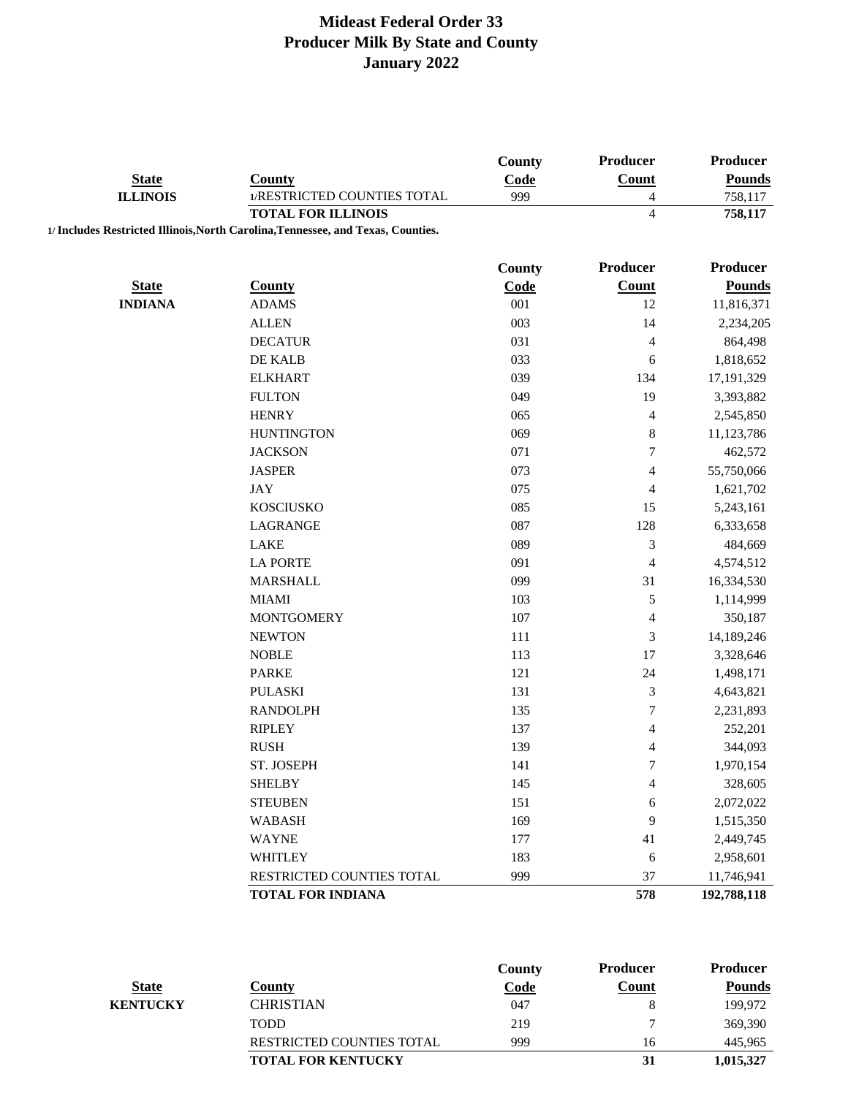|                                |                                                                                  | County      | Producer                 | Producer                |
|--------------------------------|----------------------------------------------------------------------------------|-------------|--------------------------|-------------------------|
| <b>State</b>                   | <b>County</b>                                                                    | Code        | Count                    | <b>Pounds</b>           |
| <b>ILLINOIS</b>                | 1/RESTRICTED COUNTIES TOTAL                                                      | 999         | $\overline{4}$           | 758,117                 |
|                                | <b>TOTAL FOR ILLINOIS</b>                                                        |             | $\overline{4}$           | 758,117                 |
|                                | 1/ Includes Restricted Illinois, North Carolina, Tennessee, and Texas, Counties. |             |                          |                         |
|                                |                                                                                  |             | Producer                 | Producer                |
|                                |                                                                                  | County      |                          |                         |
| <b>State</b><br><b>INDIANA</b> | <b>County</b>                                                                    | Code<br>001 | <b>Count</b><br>12       | <b>Pounds</b>           |
|                                | <b>ADAMS</b><br><b>ALLEN</b>                                                     | 003         | 14                       | 11,816,371<br>2,234,205 |
|                                |                                                                                  |             |                          |                         |
|                                | <b>DECATUR</b>                                                                   | 031         | 4                        | 864,498                 |
|                                | DE KALB                                                                          | 033         | 6                        | 1,818,652               |
|                                | <b>ELKHART</b>                                                                   | 039         | 134                      | 17, 191, 329            |
|                                | <b>FULTON</b>                                                                    | 049         | 19                       | 3,393,882               |
|                                | <b>HENRY</b>                                                                     | 065         | 4                        | 2,545,850               |
|                                | <b>HUNTINGTON</b>                                                                | 069         | $\,8\,$                  | 11,123,786              |
|                                | <b>JACKSON</b>                                                                   | 071         | $\tau$                   | 462,572                 |
|                                | <b>JASPER</b>                                                                    | 073         | $\overline{\mathcal{L}}$ | 55,750,066              |
|                                | <b>JAY</b>                                                                       | 075         | 4                        | 1,621,702               |
|                                | <b>KOSCIUSKO</b>                                                                 | 085         | 15                       | 5,243,161               |
|                                | LAGRANGE                                                                         | 087         | 128                      | 6,333,658               |
|                                | LAKE                                                                             | 089         | 3                        | 484,669                 |
|                                | <b>LA PORTE</b>                                                                  | 091         | $\overline{\mathbf{4}}$  | 4,574,512               |
|                                | <b>MARSHALL</b>                                                                  | 099         | 31                       | 16,334,530              |
|                                | <b>MIAMI</b>                                                                     | 103         | 5                        | 1,114,999               |
|                                | <b>MONTGOMERY</b>                                                                | 107         | $\overline{4}$           | 350,187                 |
|                                | <b>NEWTON</b>                                                                    | 111         | 3                        | 14,189,246              |
|                                | <b>NOBLE</b>                                                                     | 113         | 17                       | 3,328,646               |
|                                | <b>PARKE</b>                                                                     | 121         | 24                       | 1,498,171               |
|                                | <b>PULASKI</b>                                                                   | 131         | 3                        | 4,643,821               |
|                                | <b>RANDOLPH</b>                                                                  | 135         | $\overline{7}$           | 2,231,893               |
|                                | <b>RIPLEY</b>                                                                    | 137         | $\overline{\mathcal{L}}$ | 252,201                 |
|                                | <b>RUSH</b>                                                                      | 139         | 4                        | 344,093                 |
|                                | ST. JOSEPH                                                                       | 141         | $\tau$                   | 1,970,154               |
|                                | <b>SHELBY</b>                                                                    | 145         | $\overline{4}$           | 328,605                 |
|                                | <b>STEUBEN</b>                                                                   | 151         | 6                        | 2,072,022               |
|                                | <b>WABASH</b>                                                                    | 169         | 9                        | 1,515,350               |
|                                | <b>WAYNE</b>                                                                     | 177         | 41                       | 2,449,745               |
|                                | WHITLEY                                                                          | 183         | 6                        | 2,958,601               |
|                                | RESTRICTED COUNTIES TOTAL                                                        | 999         | 37                       | 11,746,941              |
|                                | <b>TOTAL FOR INDIANA</b>                                                         |             | 578                      | 192,788,118             |

|              |                                  | County      | <b>Producer</b> | <b>Producer</b> |
|--------------|----------------------------------|-------------|-----------------|-----------------|
| <b>State</b> | County                           | <b>Code</b> | Count           | Pounds          |
| KENTUCKY     | <b>CHRISTIAN</b>                 | 047         |                 | 199.972         |
|              | <b>TODD</b>                      | 219         |                 | 369,390         |
|              | <b>RESTRICTED COUNTIES TOTAL</b> | 999         | 16              | 445,965         |
|              | <b>TOTAL FOR KENTUCKY</b>        |             | 31              | 1,015,327       |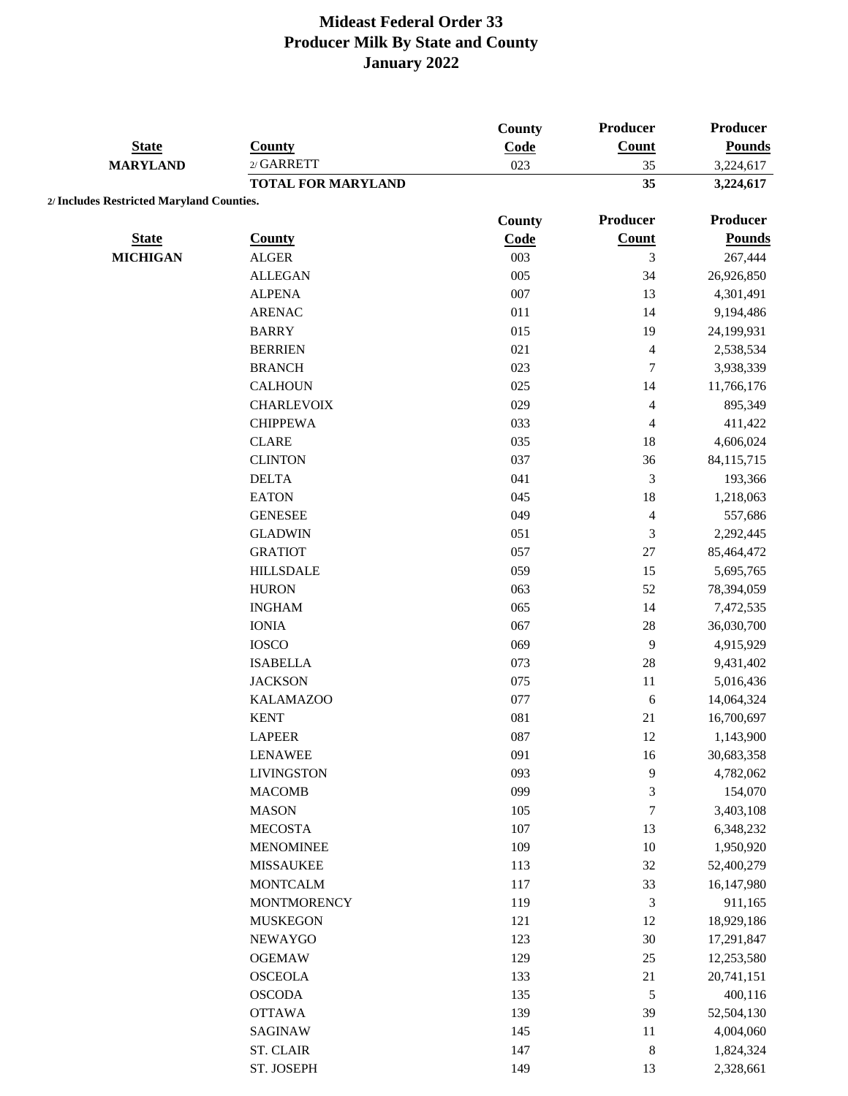|                                           |                           | <b>County</b> | <b>Producer</b>          | <b>Producer</b> |
|-------------------------------------------|---------------------------|---------------|--------------------------|-----------------|
| <b>State</b>                              | <b>County</b>             | Code          | Count                    | <b>Pounds</b>   |
| <b>MARYLAND</b>                           | $2/$ GARRETT              | 023           | 35                       | 3,224,617       |
|                                           | <b>TOTAL FOR MARYLAND</b> |               | 35                       | 3,224,617       |
| 2/ Includes Restricted Maryland Counties. |                           |               |                          |                 |
|                                           |                           | <b>County</b> | <b>Producer</b>          | <b>Producer</b> |
| <b>State</b>                              | <b>County</b>             | Code          | Count                    | <b>Pounds</b>   |
| <b>MICHIGAN</b>                           | <b>ALGER</b>              | 003           | 3                        | 267,444         |
|                                           | <b>ALLEGAN</b>            | 005           | 34                       | 26,926,850      |
|                                           | <b>ALPENA</b>             | 007           | 13                       | 4,301,491       |
|                                           | <b>ARENAC</b>             | 011           | 14                       | 9,194,486       |
|                                           | <b>BARRY</b>              | 015           | 19                       | 24,199,931      |
|                                           | <b>BERRIEN</b>            | 021           | $\overline{4}$           | 2,538,534       |
|                                           | <b>BRANCH</b>             | 023           | $\boldsymbol{7}$         | 3,938,339       |
|                                           | <b>CALHOUN</b>            | 025           | 14                       | 11,766,176      |
|                                           | <b>CHARLEVOIX</b>         | 029           | $\overline{\mathcal{L}}$ | 895,349         |
|                                           | <b>CHIPPEWA</b>           | 033           | $\overline{4}$           | 411,422         |
|                                           | <b>CLARE</b>              | 035           | 18                       | 4,606,024       |
|                                           | <b>CLINTON</b>            | 037           | 36                       | 84,115,715      |
|                                           | <b>DELTA</b>              | 041           | $\mathfrak{Z}$           | 193,366         |
|                                           | <b>EATON</b>              | 045           | $18\,$                   | 1,218,063       |
|                                           | <b>GENESEE</b>            | 049           | $\overline{4}$           | 557,686         |
|                                           | <b>GLADWIN</b>            | 051           | 3                        | 2,292,445       |
|                                           | <b>GRATIOT</b>            | 057           | $27\,$                   | 85,464,472      |
|                                           | <b>HILLSDALE</b>          | 059           | 15                       | 5,695,765       |
|                                           | <b>HURON</b>              | 063           | 52                       | 78,394,059      |
|                                           | <b>INGHAM</b>             | 065           | 14                       | 7,472,535       |
|                                           | <b>IONIA</b>              | 067           | 28                       | 36,030,700      |
|                                           | <b>IOSCO</b>              | 069           | 9                        | 4,915,929       |
|                                           | <b>ISABELLA</b>           | 073           | 28                       | 9,431,402       |
|                                           | <b>JACKSON</b>            | 075           | 11                       | 5,016,436       |
|                                           | <b>KALAMAZOO</b>          | 077           | 6                        | 14,064,324      |
|                                           | <b>KENT</b>               | 081           | 21                       | 16,700,697      |
|                                           | <b>LAPEER</b>             | 087           | $12\,$                   | 1,143,900       |
|                                           | <b>LENAWEE</b>            | 091           | 16                       | 30,683,358      |
|                                           | <b>LIVINGSTON</b>         | 093           | 9                        | 4,782,062       |
|                                           | <b>MACOMB</b>             | 099           | 3                        | 154,070         |
|                                           | <b>MASON</b>              | 105           | $\sqrt{ }$               | 3,403,108       |
|                                           | <b>MECOSTA</b>            | 107           | 13                       | 6,348,232       |
|                                           | <b>MENOMINEE</b>          | 109           | $10\,$                   | 1,950,920       |
|                                           | <b>MISSAUKEE</b>          | 113           | 32                       | 52,400,279      |
|                                           | <b>MONTCALM</b>           | 117           | 33                       | 16,147,980      |
|                                           | <b>MONTMORENCY</b>        | 119           | 3                        | 911,165         |
|                                           | <b>MUSKEGON</b>           | 121           | 12                       | 18,929,186      |
|                                           | <b>NEWAYGO</b>            | 123           | $30\,$                   | 17,291,847      |
|                                           | <b>OGEMAW</b>             | 129           | $25\,$                   | 12,253,580      |
|                                           | <b>OSCEOLA</b>            | 133           | 21                       | 20,741,151      |
|                                           | <b>OSCODA</b>             | 135           | $\sqrt{5}$               | 400,116         |
|                                           | <b>OTTAWA</b>             | 139           | 39                       | 52,504,130      |
|                                           | <b>SAGINAW</b>            | 145           | 11                       | 4,004,060       |
|                                           | <b>ST. CLAIR</b>          | 147           | $\,$ 8 $\,$              | 1,824,324       |
|                                           | ST. JOSEPH                | 149           | 13                       | 2,328,661       |
|                                           |                           |               |                          |                 |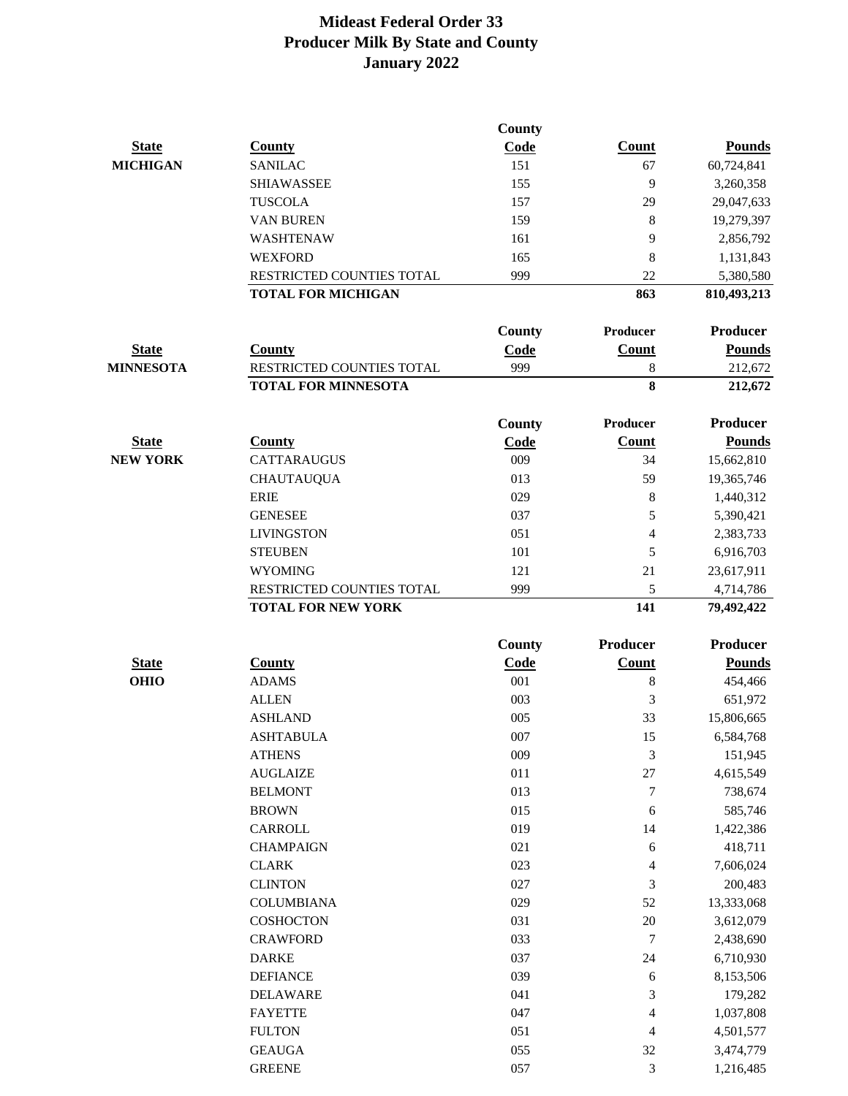|                  |                            | County      |                 |                 |
|------------------|----------------------------|-------------|-----------------|-----------------|
| <b>State</b>     | <b>County</b>              | Code        | Count           | <b>Pounds</b>   |
| <b>MICHIGAN</b>  | <b>SANILAC</b>             | 151         | 67              | 60,724,841      |
|                  | <b>SHIAWASSEE</b>          | 155         | 9               | 3,260,358       |
|                  | <b>TUSCOLA</b>             | 157         | 29              | 29,047,633      |
|                  | <b>VAN BUREN</b>           | 159         | 8               | 19,279,397      |
|                  | WASHTENAW                  | 161         | 9               | 2,856,792       |
|                  | <b>WEXFORD</b>             | 165         | 8               | 1,131,843       |
|                  | RESTRICTED COUNTIES TOTAL  | 999         | 22              | 5,380,580       |
|                  | <b>TOTAL FOR MICHIGAN</b>  |             | 863             | 810,493,213     |
|                  |                            | County      | <b>Producer</b> | <b>Producer</b> |
| <b>State</b>     | <b>County</b>              | Code        | Count           | <b>Pounds</b>   |
| <b>MINNESOTA</b> | RESTRICTED COUNTIES TOTAL  | 999         | 8               | 212,672         |
|                  | <b>TOTAL FOR MINNESOTA</b> |             | 8               | 212,672         |
|                  |                            | County      | Producer        | <b>Producer</b> |
| <b>State</b>     | <b>County</b>              | Code        | <b>Count</b>    | <b>Pounds</b>   |
| <b>NEW YORK</b>  | <b>CATTARAUGUS</b>         | 009         | 34              | 15,662,810      |
|                  | <b>CHAUTAUQUA</b>          | 013         | 59              | 19,365,746      |
|                  | <b>ERIE</b>                | 029         | 8               | 1,440,312       |
|                  | <b>GENESEE</b>             | 037         | 5               |                 |
|                  | <b>LIVINGSTON</b>          | 051         | 4               | 5,390,421       |
|                  |                            |             |                 | 2,383,733       |
|                  | <b>STEUBEN</b>             | 101         | 5               | 6,916,703       |
|                  | <b>WYOMING</b>             | 121         | 21              | 23,617,911      |
|                  | RESTRICTED COUNTIES TOTAL  | 999         | 5               | 4,714,786       |
|                  | <b>TOTAL FOR NEW YORK</b>  |             | 141             | 79,492,422      |
|                  |                            | County      | <b>Producer</b> | <b>Producer</b> |
| <b>State</b>     | <b>County</b>              | <b>Code</b> | Count           | <b>Pounds</b>   |
| <b>OHIO</b>      | <b>ADAMS</b>               | 001         | 8               | 454,466         |
|                  | <b>ALLEN</b>               | 003         | 3               | 651,972         |
|                  | <b>ASHLAND</b>             | 005         | 33              | 15,806,665      |
|                  | <b>ASHTABULA</b>           | 007         | 15              | 6,584,768       |
|                  | <b>ATHENS</b>              | 009         | $\mathfrak{Z}$  | 151,945         |
|                  | <b>AUGLAIZE</b>            | $011\,$     | $27\,$          | 4,615,549       |
|                  | <b>BELMONT</b>             | 013         | 7               | 738,674         |
|                  | <b>BROWN</b>               | 015         | $\sqrt{6}$      | 585,746         |
|                  | CARROLL                    | 019         | 14              | 1,422,386       |
|                  | <b>CHAMPAIGN</b>           | 021         | $\sqrt{6}$      | 418,711         |
|                  | <b>CLARK</b>               | 023         | 4               | 7,606,024       |
|                  | <b>CLINTON</b>             | 027         | 3               | 200,483         |
|                  | <b>COLUMBIANA</b>          | 029         | 52              | 13,333,068      |
|                  | <b>COSHOCTON</b>           | 031         | $20\,$          | 3,612,079       |
|                  | <b>CRAWFORD</b>            | 033         | 7               | 2,438,690       |
|                  | <b>DARKE</b>               | 037         | 24              | 6,710,930       |
|                  | <b>DEFIANCE</b>            | 039         | $\sqrt{6}$      | 8,153,506       |
|                  | <b>DELAWARE</b>            | 041         | 3               | 179,282         |
|                  | <b>FAYETTE</b>             | 047         | 4               | 1,037,808       |
|                  | <b>FULTON</b>              | 051         | 4               | 4,501,577       |
|                  | <b>GEAUGA</b>              | 055         | 32              | 3,474,779       |
|                  | <b>GREENE</b>              | 057         | 3               | 1,216,485       |
|                  |                            |             |                 |                 |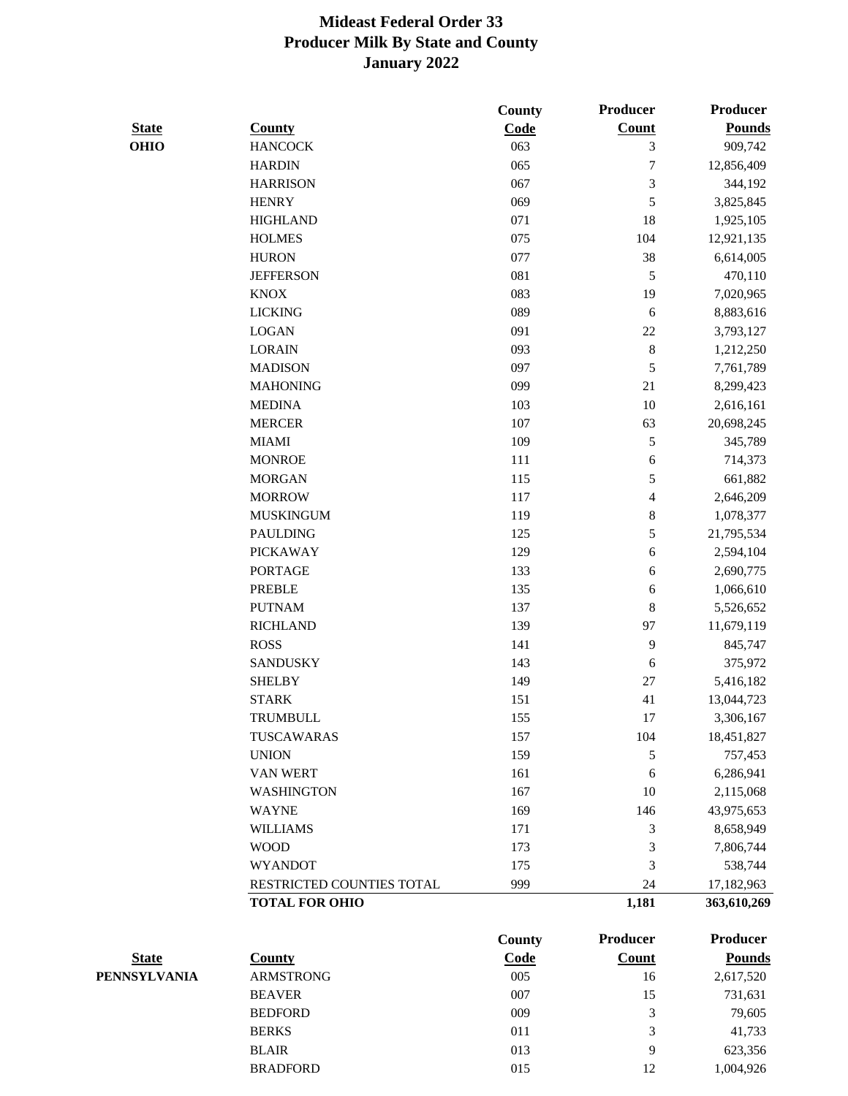|              |                           | <b>County</b> | Producer       | <b>Producer</b> |
|--------------|---------------------------|---------------|----------------|-----------------|
| <b>State</b> | <b>County</b>             | Code          | <b>Count</b>   | <b>Pounds</b>   |
| <b>OHIO</b>  | <b>HANCOCK</b>            | 063           | 3              | 909,742         |
|              | <b>HARDIN</b>             | 065           | $\overline{7}$ | 12,856,409      |
|              | <b>HARRISON</b>           | 067           | 3              | 344,192         |
|              | <b>HENRY</b>              | 069           | 5              | 3,825,845       |
|              | <b>HIGHLAND</b>           | 071           | 18             | 1,925,105       |
|              | <b>HOLMES</b>             | 075           | 104            | 12,921,135      |
|              | <b>HURON</b>              | 077           | 38             | 6,614,005       |
|              | <b>JEFFERSON</b>          | 081           | 5              | 470,110         |
|              | <b>KNOX</b>               | 083           | 19             | 7,020,965       |
|              | <b>LICKING</b>            | 089           | $\sqrt{6}$     | 8,883,616       |
|              | <b>LOGAN</b>              | 091           | $22\,$         | 3,793,127       |
|              | <b>LORAIN</b>             | 093           | $\,8\,$        | 1,212,250       |
|              | <b>MADISON</b>            | 097           | 5              | 7,761,789       |
|              | <b>MAHONING</b>           | 099           | 21             | 8,299,423       |
|              | <b>MEDINA</b>             | 103           | 10             | 2,616,161       |
|              | <b>MERCER</b>             | 107           | 63             | 20,698,245      |
|              | <b>MIAMI</b>              | 109           | 5              | 345,789         |
|              | <b>MONROE</b>             | 111           | 6              | 714,373         |
|              | <b>MORGAN</b>             | 115           | 5              | 661,882         |
|              | <b>MORROW</b>             | 117           | 4              | 2,646,209       |
|              | <b>MUSKINGUM</b>          | 119           | 8              | 1,078,377       |
|              | <b>PAULDING</b>           | 125           | 5              | 21,795,534      |
|              | <b>PICKAWAY</b>           | 129           | 6              | 2,594,104       |
|              | <b>PORTAGE</b>            | 133           | 6              | 2,690,775       |
|              | <b>PREBLE</b>             | 135           | 6              | 1,066,610       |
|              | <b>PUTNAM</b>             | 137           | 8              | 5,526,652       |
|              | <b>RICHLAND</b>           | 139           | 97             | 11,679,119      |
|              | <b>ROSS</b>               | 141           | 9              | 845,747         |
|              | <b>SANDUSKY</b>           | 143           | 6              | 375,972         |
|              | <b>SHELBY</b>             | 149           | $27\,$         | 5,416,182       |
|              | <b>STARK</b>              | 151           | 41             | 13,044,723      |
|              | TRUMBULL                  | 155           | 17             | 3,306,167       |
|              | TUSCAWARAS                | 157           | 104            | 18,451,827      |
|              | <b>UNION</b>              | 159           | 5              | 757,453         |
|              | VAN WERT                  | 161           | 6              | 6,286,941       |
|              | <b>WASHINGTON</b>         | 167           | $10\,$         | 2,115,068       |
|              | <b>WAYNE</b>              | 169           | 146            | 43,975,653      |
|              | <b>WILLIAMS</b>           | 171           | 3              | 8,658,949       |
|              | <b>WOOD</b>               | 173           | 3              | 7,806,744       |
|              | <b>WYANDOT</b>            | 175           | 3              | 538,744         |
|              | RESTRICTED COUNTIES TOTAL | 999           | 24             | 17,182,963      |
|              | <b>TOTAL FOR OHIO</b>     |               | 1,181          | 363,610,269     |
|              |                           | County        | Producer       | <b>Producer</b> |

|                     |                  | - - ----- |       |               |
|---------------------|------------------|-----------|-------|---------------|
| <b>State</b>        | County           | Code      | Count | <b>Pounds</b> |
| <b>PENNSYLVANIA</b> | <b>ARMSTRONG</b> | 005       | 16    | 2,617,520     |
|                     | <b>BEAVER</b>    | 007       | 15    | 731,631       |
|                     | <b>BEDFORD</b>   | 009       | 3     | 79,605        |
|                     | <b>BERKS</b>     | 011       | 3     | 41,733        |
|                     | <b>BLAIR</b>     | 013       | 9     | 623,356       |
|                     | <b>BRADFORD</b>  | 015       | 12    | 1,004,926     |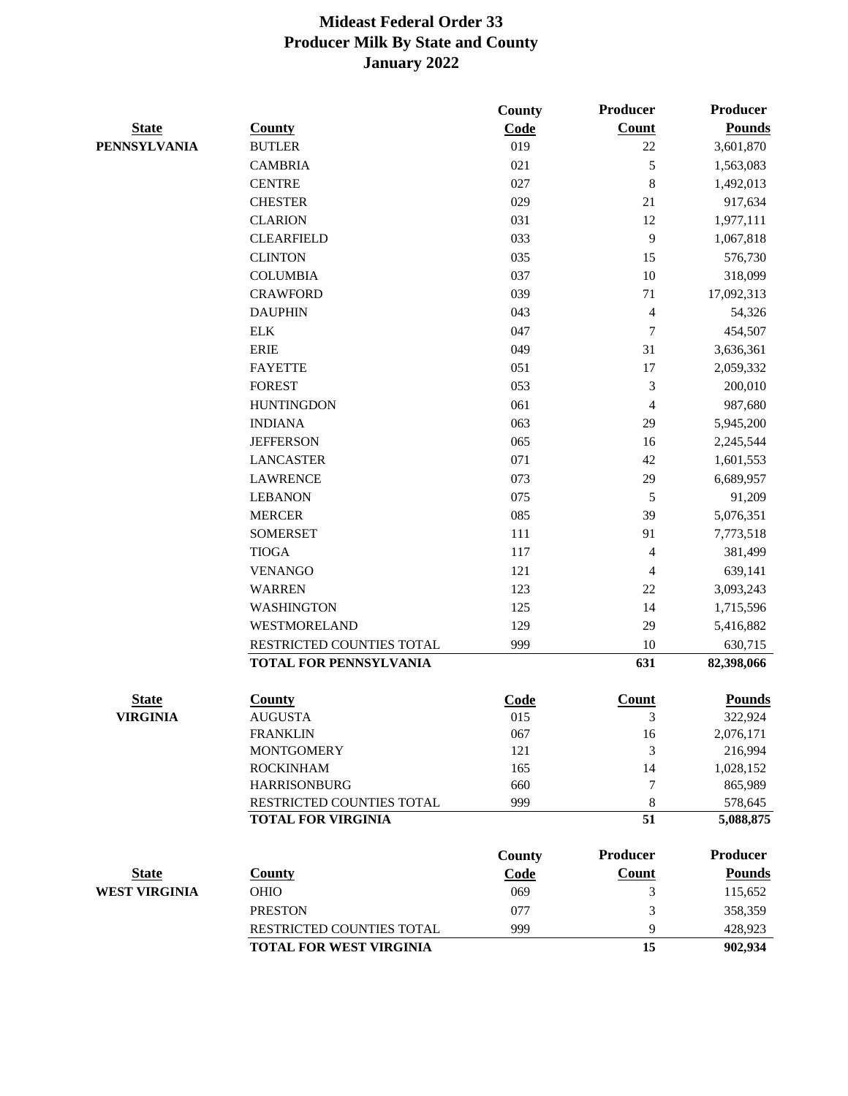|                      |                                | <b>County</b> | Producer       | <b>Producer</b> |
|----------------------|--------------------------------|---------------|----------------|-----------------|
| <b>State</b>         | <b>County</b>                  | Code          | <b>Count</b>   | <b>Pounds</b>   |
| <b>PENNSYLVANIA</b>  | <b>BUTLER</b>                  | 019           | 22             | 3,601,870       |
|                      | <b>CAMBRIA</b>                 | 021           | 5              | 1,563,083       |
|                      | <b>CENTRE</b>                  | 027           | 8              | 1,492,013       |
|                      | <b>CHESTER</b>                 | 029           | 21             | 917,634         |
|                      | <b>CLARION</b>                 | 031           | 12             | 1,977,111       |
|                      | <b>CLEARFIELD</b>              | 033           | 9              | 1,067,818       |
|                      | <b>CLINTON</b>                 | 035           | 15             | 576,730         |
|                      | <b>COLUMBIA</b>                | 037           | 10             | 318,099         |
|                      | <b>CRAWFORD</b>                | 039           | 71             | 17,092,313      |
|                      | <b>DAUPHIN</b>                 | 043           | $\overline{4}$ | 54,326          |
|                      | <b>ELK</b>                     | 047           | 7              | 454,507         |
|                      | <b>ERIE</b>                    | 049           | 31             | 3,636,361       |
|                      | <b>FAYETTE</b>                 | 051           | 17             | 2,059,332       |
|                      | <b>FOREST</b>                  | 053           | 3              | 200,010         |
|                      | <b>HUNTINGDON</b>              | 061           | 4              | 987,680         |
|                      | <b>INDIANA</b>                 | 063           | 29             | 5,945,200       |
|                      | <b>JEFFERSON</b>               | 065           | 16             | 2,245,544       |
|                      | <b>LANCASTER</b>               | 071           | 42             | 1,601,553       |
|                      | <b>LAWRENCE</b>                | 073           | 29             | 6,689,957       |
|                      | <b>LEBANON</b>                 | 075           | 5              | 91,209          |
|                      | <b>MERCER</b>                  | 085           | 39             | 5,076,351       |
|                      | <b>SOMERSET</b>                | 111           | 91             | 7,773,518       |
|                      | <b>TIOGA</b>                   | 117           | 4              | 381,499         |
|                      | <b>VENANGO</b>                 | 121           | 4              | 639,141         |
|                      | <b>WARREN</b>                  | 123           | 22             | 3,093,243       |
|                      | <b>WASHINGTON</b>              | 125           | 14             | 1,715,596       |
|                      | WESTMORELAND                   | 129           | 29             | 5,416,882       |
|                      | RESTRICTED COUNTIES TOTAL      | 999           | 10             | 630,715         |
|                      | <b>TOTAL FOR PENNSYLVANIA</b>  |               | 631            | 82,398,066      |
| <b>State</b>         | <b>County</b>                  | Code          | <b>Count</b>   | <b>Pounds</b>   |
| <b>VIRGINIA</b>      | <b>AUGUSTA</b>                 | 015           | 3              | 322,924         |
|                      | <b>FRANKLIN</b>                | 067           | 16             | 2,076,171       |
|                      | <b>MONTGOMERY</b>              | 121           | 3              | 216,994         |
|                      | <b>ROCKINHAM</b>               | 165           | 14             | 1,028,152       |
|                      | <b>HARRISONBURG</b>            | 660           | 7              | 865,989         |
|                      | RESTRICTED COUNTIES TOTAL      | 999           | 8              | 578,645         |
|                      | <b>TOTAL FOR VIRGINIA</b>      |               | 51             | 5,088,875       |
|                      |                                | <b>County</b> | Producer       | <b>Producer</b> |
| <b>State</b>         | <b>County</b>                  | Code          | <b>Count</b>   | <b>Pounds</b>   |
| <b>WEST VIRGINIA</b> | <b>OHIO</b>                    | 069           | 3              | 115,652         |
|                      | <b>PRESTON</b>                 | 077           | 3              | 358,359         |
|                      | RESTRICTED COUNTIES TOTAL      | 999           | 9              | 428,923         |
|                      | <b>TOTAL FOR WEST VIRGINIA</b> |               | 15             | 902,934         |